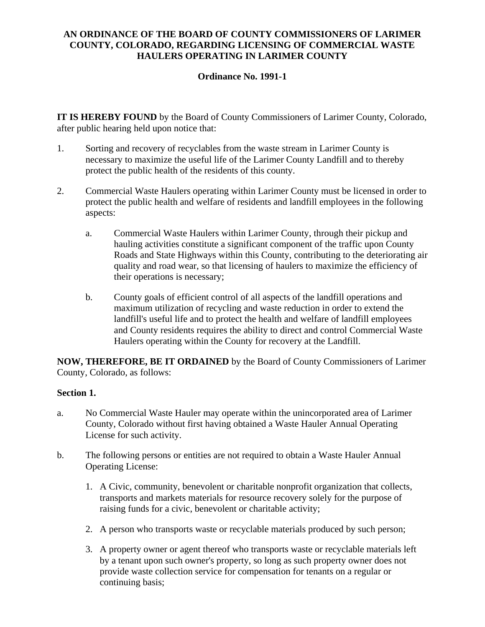# **AN ORDINANCE OF THE BOARD OF COUNTY COMMISSIONERS OF LARIMER COUNTY, COLORADO, REGARDING LICENSING OF COMMERCIAL WASTE HAULERS OPERATING IN LARIMER COUNTY**

# **Ordinance No. 1991-1**

**IT IS HEREBY FOUND** by the Board of County Commissioners of Larimer County, Colorado, after public hearing held upon notice that:

- 1. Sorting and recovery of recyclables from the waste stream in Larimer County is necessary to maximize the useful life of the Larimer County Landfill and to thereby protect the public health of the residents of this county.
- 2. Commercial Waste Haulers operating within Larimer County must be licensed in order to protect the public health and welfare of residents and landfill employees in the following aspects:
	- a. Commercial Waste Haulers within Larimer County, through their pickup and hauling activities constitute a significant component of the traffic upon County Roads and State Highways within this County, contributing to the deteriorating air quality and road wear, so that licensing of haulers to maximize the efficiency of their operations is necessary;
	- b. County goals of efficient control of all aspects of the landfill operations and maximum utilization of recycling and waste reduction in order to extend the landfill's useful life and to protect the health and welfare of landfill employees and County residents requires the ability to direct and control Commercial Waste Haulers operating within the County for recovery at the Landfill.

**NOW, THEREFORE, BE IT ORDAINED** by the Board of County Commissioners of Larimer County, Colorado, as follows:

## **Section 1.**

- a. No Commercial Waste Hauler may operate within the unincorporated area of Larimer County, Colorado without first having obtained a Waste Hauler Annual Operating License for such activity.
- b. The following persons or entities are not required to obtain a Waste Hauler Annual Operating License:
	- 1. A Civic, community, benevolent or charitable nonprofit organization that collects, transports and markets materials for resource recovery solely for the purpose of raising funds for a civic, benevolent or charitable activity;
	- 2. A person who transports waste or recyclable materials produced by such person;
	- 3. A property owner or agent thereof who transports waste or recyclable materials left by a tenant upon such owner's property, so long as such property owner does not provide waste collection service for compensation for tenants on a regular or continuing basis;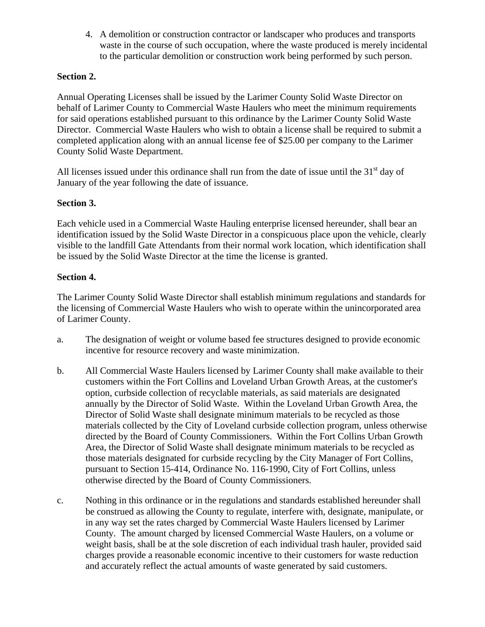4. A demolition or construction contractor or landscaper who produces and transports waste in the course of such occupation, where the waste produced is merely incidental to the particular demolition or construction work being performed by such person.

# **Section 2.**

Annual Operating Licenses shall be issued by the Larimer County Solid Waste Director on behalf of Larimer County to Commercial Waste Haulers who meet the minimum requirements for said operations established pursuant to this ordinance by the Larimer County Solid Waste Director. Commercial Waste Haulers who wish to obtain a license shall be required to submit a completed application along with an annual license fee of \$25.00 per company to the Larimer County Solid Waste Department.

All licenses issued under this ordinance shall run from the date of issue until the  $31<sup>st</sup>$  day of January of the year following the date of issuance.

## **Section 3.**

Each vehicle used in a Commercial Waste Hauling enterprise licensed hereunder, shall bear an identification issued by the Solid Waste Director in a conspicuous place upon the vehicle, clearly visible to the landfill Gate Attendants from their normal work location, which identification shall be issued by the Solid Waste Director at the time the license is granted.

### **Section 4.**

The Larimer County Solid Waste Director shall establish minimum regulations and standards for the licensing of Commercial Waste Haulers who wish to operate within the unincorporated area of Larimer County.

- a. The designation of weight or volume based fee structures designed to provide economic incentive for resource recovery and waste minimization.
- b. All Commercial Waste Haulers licensed by Larimer County shall make available to their customers within the Fort Collins and Loveland Urban Growth Areas, at the customer's option, curbside collection of recyclable materials, as said materials are designated annually by the Director of Solid Waste. Within the Loveland Urban Growth Area, the Director of Solid Waste shall designate minimum materials to be recycled as those materials collected by the City of Loveland curbside collection program, unless otherwise directed by the Board of County Commissioners. Within the Fort Collins Urban Growth Area, the Director of Solid Waste shall designate minimum materials to be recycled as those materials designated for curbside recycling by the City Manager of Fort Collins, pursuant to Section 15-414, Ordinance No. 116-1990, City of Fort Collins, unless otherwise directed by the Board of County Commissioners.
- c. Nothing in this ordinance or in the regulations and standards established hereunder shall be construed as allowing the County to regulate, interfere with, designate, manipulate, or in any way set the rates charged by Commercial Waste Haulers licensed by Larimer County. The amount charged by licensed Commercial Waste Haulers, on a volume or weight basis, shall be at the sole discretion of each individual trash hauler, provided said charges provide a reasonable economic incentive to their customers for waste reduction and accurately reflect the actual amounts of waste generated by said customers.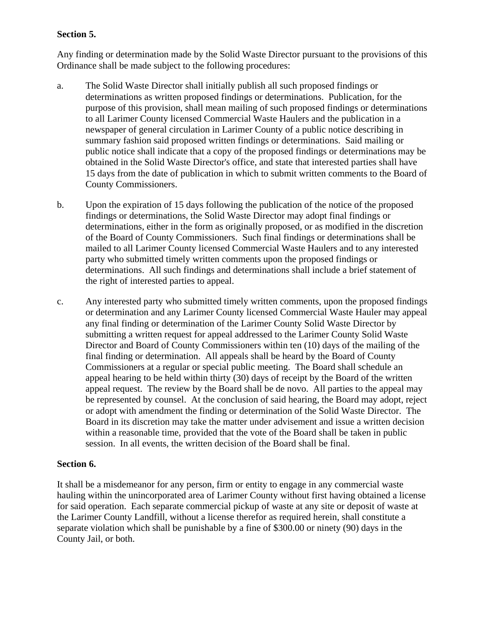## **Section 5.**

Any finding or determination made by the Solid Waste Director pursuant to the provisions of this Ordinance shall be made subject to the following procedures:

- a. The Solid Waste Director shall initially publish all such proposed findings or determinations as written proposed findings or determinations. Publication, for the purpose of this provision, shall mean mailing of such proposed findings or determinations to all Larimer County licensed Commercial Waste Haulers and the publication in a newspaper of general circulation in Larimer County of a public notice describing in summary fashion said proposed written findings or determinations. Said mailing or public notice shall indicate that a copy of the proposed findings or determinations may be obtained in the Solid Waste Director's office, and state that interested parties shall have 15 days from the date of publication in which to submit written comments to the Board of County Commissioners.
- b. Upon the expiration of 15 days following the publication of the notice of the proposed findings or determinations, the Solid Waste Director may adopt final findings or determinations, either in the form as originally proposed, or as modified in the discretion of the Board of County Commissioners. Such final findings or determinations shall be mailed to all Larimer County licensed Commercial Waste Haulers and to any interested party who submitted timely written comments upon the proposed findings or determinations. All such findings and determinations shall include a brief statement of the right of interested parties to appeal.
- c. Any interested party who submitted timely written comments, upon the proposed findings or determination and any Larimer County licensed Commercial Waste Hauler may appeal any final finding or determination of the Larimer County Solid Waste Director by submitting a written request for appeal addressed to the Larimer County Solid Waste Director and Board of County Commissioners within ten (10) days of the mailing of the final finding or determination. All appeals shall be heard by the Board of County Commissioners at a regular or special public meeting. The Board shall schedule an appeal hearing to be held within thirty (30) days of receipt by the Board of the written appeal request. The review by the Board shall be de novo. All parties to the appeal may be represented by counsel. At the conclusion of said hearing, the Board may adopt, reject or adopt with amendment the finding or determination of the Solid Waste Director. The Board in its discretion may take the matter under advisement and issue a written decision within a reasonable time, provided that the vote of the Board shall be taken in public session. In all events, the written decision of the Board shall be final.

#### **Section 6.**

It shall be a misdemeanor for any person, firm or entity to engage in any commercial waste hauling within the unincorporated area of Larimer County without first having obtained a license for said operation. Each separate commercial pickup of waste at any site or deposit of waste at the Larimer County Landfill, without a license therefor as required herein, shall constitute a separate violation which shall be punishable by a fine of \$300.00 or ninety (90) days in the County Jail, or both.